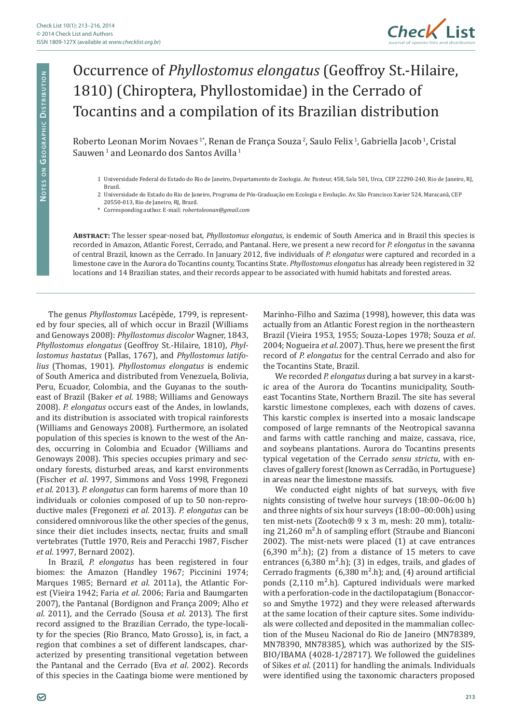

## Occurrence of *Phyllostomus elongatus* (Geoffroy St.-Hilaire, 1810) (Chiroptera, Phyllostomidae) in the Cerrado of Tocantins and a compilation of its Brazilian distribution

Roberto Leonan Morim Novaes<sup>1</sup>\*, Renan de França Souza<sup>2</sup>, Saulo Felix<sup>1</sup>, Gabriella Jacob<sup>1</sup>, Cristal Sauwen<sup>1</sup> and Leonardo dos Santos Avilla<sup>1</sup>

- 2 Universidade do Estado do Rio de Janeiro, Programa de Pós-Graduação em Ecologia e Evolução. Av. São Francisco Xavier 524, Maracanã, CEP
- 20550-013, Rio de Janeiro, RJ, Brazil.

\* Corresponding author. E-mail: *robertoleonan@gmail.com*

**Abstract:** The lesser spear-nosed bat, *Phyllostomus elongatus*, is endemic of South America and in Brazil this species is recorded in Amazon, Atlantic Forest, Cerrado, and Pantanal. Here, we present a new record for *P. elongatus* in the savanna of central Brazil, known as the Cerrado. In January 2012, five individuals of *P. elongatus* were captured and recorded in a limestone cave in the Aurora do Tocantins county, Tocantins State. *Phyllostomus elongatus* has already been registered in 32 locations and 14 Brazilian states, and their records appear to be associated with humid habitats and forested areas.

The genus *Phyllostomus* Lacépède, 1799, is represented by four species, all of which occur in Brazil (Williams and Genoways 2008): *Phyllostomus discolor* Wagner, 1843, *Phyllostomus elongatus* (Geoffroy St.-Hilaire, 1810), *Phyllostomus hastatus* (Pallas, 1767), and *Phyllostomus latifolius* (Thomas, 1901). *Phyllostomus elongatus* is endemic of South America and distributed from Venezuela, Bolivia, Peru, Ecuador, Colombia, and the Guyanas to the southeast of Brazil (Baker *et al*. 1988; Williams and Genoways 2008). *P. elongatus* occurs east of the Andes, in lowlands, and its distribution is associated with tropical rainforests (Williams and Genoways 2008). Furthermore, an isolated population of this species is known to the west of the Andes, occurring in Colombia and Ecuador (Williams and Genoways 2008). This species occupies primary and secondary forests, disturbed areas, and karst environments (Fischer *et al*. 1997, Simmons and Voss 1998, Fregonezi *et al*. 2013). *P. elongatus* can form harems of more than 10 individuals or colonies composed of up to 50 non-reproductive males (Fregonezi *et al.* 2013). *P. elongatus* can be considered omnivorous like the other species of the genus, since their diet includes insects, nectar, fruits and small vertebrates (Tuttle 1970, Reis and Peracchi 1987, Fischer *et al.* 1997, Bernard 2002).

In Brazil, *P. elongatus* has been registered in four biomes: the Amazon (Handley 1967; Piccinini 1974; Marques 1985; Bernard *et al*. 2011a), the Atlantic Forest (Vieira 1942; Faria *et al*. 2006; Faria and Baumgarten 2007), the Pantanal (Bordignon and França 2009; Alho *et al*. 2011), and the Cerrado (Sousa *et al*. 2013). The first record assigned to the Brazilian Cerrado, the type-locality for the species (Rio Branco, Mato Grosso), is, in fact, a region that combines a set of different landscapes, characterized by presenting transitional vegetation between the Pantanal and the Cerrado (Eva *et al*. 2002). Records of this species in the Caatinga biome were mentioned by

Marinho-Filho and Sazima (1998), however, this data was actually from an Atlantic Forest region in the northeastern Brazil (Vieira 1953, 1955; Souza-Lopes 1978; Souza *et al*. 2004; Nogueira *et al*. 2007). Thus, here we present the first record of *P. elongatus* for the central Cerrado and also for the Tocantins State, Brazil.

We recorded *P. elongatus* during a bat survey in a karstic area of the Aurora do Tocantins municipality, Southeast Tocantins State, Northern Brazil. The site has several karstic limestone complexes, each with dozens of caves. This karstic complex is inserted into a mosaic landscape composed of large remnants of the Neotropical savanna and farms with cattle ranching and maize, cassava, rice, and soybeans plantations. Aurora do Tocantins presents typical vegetation of the Cerrado *sensu strictu*, with enclaves of gallery forest (known as Cerradão, in Portuguese) in areas near the limestone massifs.

We conducted eight nights of bat surveys, with five nights consisting of twelve hour surveys (18:00–06:00 h) and three nights of six hour surveys (18:00–00:00h) using ten mist-nets (Zootech® 9 x 3 m, mesh: 20 mm), totalizing 21,260 m².h of sampling effort (Straube and Bianconi 2002). The mist-nets were placed (1) at cave entrances  $(6,390 \text{ m}^2 \cdot h)$ ; (2) from a distance of 15 meters to cave entrances  $(6,380 \text{ m}^2 \cdot h)$ ; (3) in edges, trails, and glades of Cerrado fragments  $(6,380 \text{ m}^2 \cdot \text{h})$ ; and,  $(4)$  around artificial ponds (2,110 m².h). Captured individuals were marked with a perforation-code in the dactilopatagium (Bonaccorso and Smythe 1972) and they were released afterwards at the same location of their capture sites. Some individuals were collected and deposited in the mammalian collection of the Museu Nacional do Rio de Janeiro (MN78389, MN78390, MN78385), which was authorized by the SIS-BIO/IBAMA (4028-1/28717). We followed the guidelines of Sikes *et al*. (2011) for handling the animals. Individuals were identified using the taxonomic characters proposed

<sup>1</sup> Universidade Federal do Estado do Rio de Janeiro, Departamento de Zoologia. Av. Pasteur, 458, Sala 501, Urca, CEP 22290-240, Rio de Janeiro, RJ, Brazil.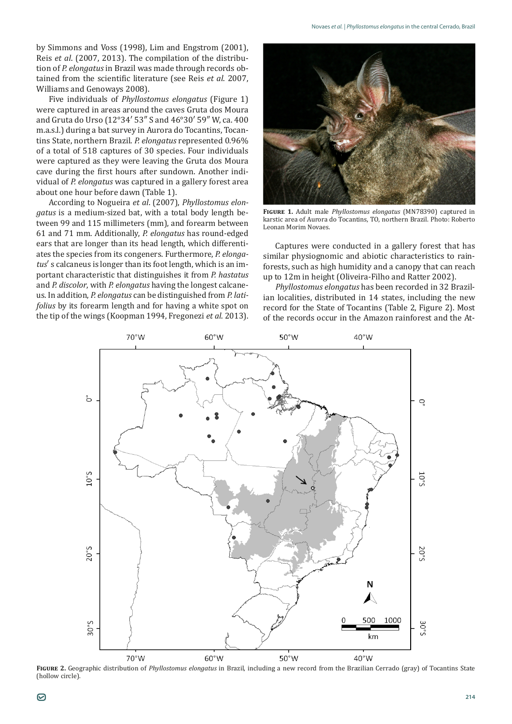by Simmons and Voss (1998), Lim and Engstrom (2001), Reis *et al*. (2007, 2013). The compilation of the distribution of *P. elongatus* in Brazil was made through records obtained from the scientific literature (see Reis *et al*. 2007, Williams and Genoways 2008).

Five individuals of *Phyllostomus elongatus* (Figure 1) were captured in areas around the caves Gruta dos Moura and Gruta do Urso (12°34′ 53″ S and 46°30′ 59″ W, ca. 400 m.a.s.l.) during a bat survey in Aurora do Tocantins, Tocantins State, northern Brazil. *P. elongatus* represented 0.96% of a total of 518 captures of 30 species. Four individuals were captured as they were leaving the Gruta dos Moura cave during the first hours after sundown. Another individual of *P. elongatus* was captured in a gallery forest area about one hour before dawn (Table 1).

According to Nogueira *et al*. (2007), *Phyllostomus elongatus* is a medium-sized bat, with a total body length between 99 and 115 millimeters (mm), and forearm between 61 and 71 mm. Additionally, *P. elongatus* has round-edged ears that are longer than its head length, which differentiates the species from its congeners. Furthermore, *P. elongatus*′ s calcaneus is longer than its foot length, which is an important characteristic that distinguishes it from *P. hastatus* and *P. discolor*, with *P. elongatus* having the longest calcaneus. In addition, *P. elongatus* can be distinguished from *P. latifolius* by its forearm length and for having a white spot on the tip of the wings (Koopman 1994, Fregonezi *et al*. 2013).



**Figure 1.** Adult male *Phyllostomus elongatus* (MN78390) captured in karstic area of Aurora do Tocantins, TO, northern Brazil. Photo: Roberto Leonan Morim Novaes.

Captures were conducted in a gallery forest that has similar physiognomic and abiotic characteristics to rainforests, such as high humidity and a canopy that can reach up to 12m in height (Oliveira-Filho and Ratter 2002).

*Phyllostomus elongatus* has been recorded in 32 Brazilian localities, distributed in 14 states, including the new record for the State of Tocantins (Table 2, Figure 2). Most of the records occur in the Amazon rainforest and the At-



**Figure 2.** Geographic distribution of *Phyllostomus elongatus* in Brazil, including a new record from the Brazilian Cerrado (gray) of Tocantins State (hollow circle).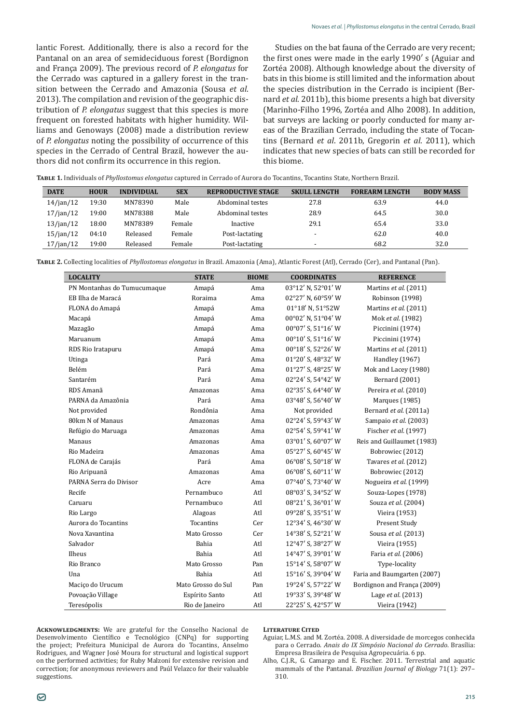lantic Forest. Additionally, there is also a record for the Pantanal on an area of semideciduous forest (Bordignon and França 2009). The previous record of *P. elongatus* for the Cerrado was captured in a gallery forest in the transition between the Cerrado and Amazonia (Sousa *et al*. 2013). The compilation and revision of the geographic distribution of *P. elongatus* suggest that this species is more frequent on forested habitats with higher humidity. Williams and Genoways (2008) made a distribution review of *P. elongatus* noting the possibility of occurrence of this species in the Cerrado of Central Brazil, however the authors did not confirm its occurrence in this region.

Studies on the bat fauna of the Cerrado are very recent; the first ones were made in the early 1990′ s (Aguiar and Zortéa 2008). Although knowledge about the diversity of bats in this biome is still limited and the information about the species distribution in the Cerrado is incipient (Bernard *et al*. 2011b), this biome presents a high bat diversity (Marinho-Filho 1996, Zortéa and Alho 2008). In addition, bat surveys are lacking or poorly conducted for many areas of the Brazilian Cerrado, including the state of Tocantins (Bernard *et al*. 2011b, Gregorin *et al*. 2011), which indicates that new species of bats can still be recorded for this biome.

| <b>TABLE 1.</b> Individuals of <i>Phyllostomus elongatus</i> captured in Cerrado of Aurora do Tocantins, Tocantins State, Northern Brazil. |  |  |
|--------------------------------------------------------------------------------------------------------------------------------------------|--|--|
|--------------------------------------------------------------------------------------------------------------------------------------------|--|--|

| <b>DATE</b>     | <b>HOUR</b> | <b>INDIVIDUAL</b> | <b>SEX</b> | <b>REPRODUCTIVE STAGE</b> | <b>SKULL LENGTH</b>      | <b>FOREARM LENGTH</b> | <b>BODY MASS</b> |
|-----------------|-------------|-------------------|------------|---------------------------|--------------------------|-----------------------|------------------|
| 14/ian/12       | 19:30       | MN78390           | Male       | Abdominal testes          | 27.8                     | 63.9                  | 44.0             |
| 17/ian/12       | 19:00       | MN78388           | Male       | Abdominal testes          | 28.9                     | 64.5                  | 30.0             |
| 13/ian/12       | 18:00       | MN78389           | Female     | Inactive                  | 29.1                     | 65.4                  | 33.0             |
| $15/$ jan $/12$ | 04:10       | Released          | Female     | Post-lactating            | $\overline{\phantom{a}}$ | 62.0                  | 40.0             |
| 17/ian/12       | 19:00       | Released          | Female     | Post-lactating            | $\overline{\phantom{a}}$ | 68.2                  | 32.0             |

**Table 2.** Collecting localities of *Phyllostomus elongatus* in Brazil. Amazonia (Ama), Atlantic Forest (Atl), Cerrado (Cer), and Pantanal (Pan).

| <b>LOCALITY</b>             | <b>STATE</b>       | <b>BIOME</b> | <b>COORDINATES</b> | <b>REFERENCE</b>            |
|-----------------------------|--------------------|--------------|--------------------|-----------------------------|
| PN Montanhas do Tumucumaque | Amapá              | Ama          | 03°12' N, 52°01' W | Martins et al. (2011)       |
| EB Ilha de Maracá           | Roraima            | Ama          | 02°27' N, 60°59' W | Robinson (1998)             |
| FLONA do Amapá              | Amapá              | Ama          | 01°18' N, 51°52W   | Martins et al. (2011)       |
| Macapá                      | Amapá              | Ama          | 00°02' N, 51°04' W | Mok et al. (1982)           |
| Mazagão                     | Amapá              | Ama          | 00°07' S, 51°16' W | Piccinini (1974)            |
| Maruanum                    | Amapá              | Ama          | 00°10' S, 51°16' W | Piccinini (1974)            |
| RDS Rio Iratapuru           | Amapá              | Ama          | 00°18' S, 52°26' W | Martins et al. (2011)       |
| Utinga                      | Pará               | Ama          | 01°20' S, 48°32' W | <b>Handley</b> (1967)       |
| Belém                       | Pará               | Ama          | 01°27' S, 48°25' W | Mok and Lacey (1980)        |
| Santarém                    | Pará               | Ama          | 02°24' S, 54°42' W | <b>Bernard</b> (2001)       |
| RDS Amanã                   | Amazonas           | Ama          | 02°35' S, 64°40' W | Pereira et al. (2010)       |
| PARNA da Amazônia           | Pará               | Ama          | 03°48' S, 56°40' W | Marques (1985)              |
| Not provided                | Rondônia           | Ama          | Not provided       | Bernard et al. (2011a)      |
| 80km N of Manaus            | Amazonas           | Ama          | 02°24' S, 59°43' W | Sampaio et al. (2003)       |
| Refúgio do Maruaga          | Amazonas           | Ama          | 02°54' S, 59°41' W | Fischer et al. (1997)       |
| Manaus                      | Amazonas           | Ama          | 03°01' S, 60°07' W | Reis and Guillaumet (1983)  |
| Rio Madeira                 | Amazonas           | Ama          | 05°27' S, 60°45' W | Bobrowiec (2012)            |
| FLONA de Carajás            | Pará               | Ama          | 06°08' S, 50°18' W | Tavares et al. (2012)       |
| Rio Aripuanã                | Amazonas           | Ama          | 06°08' S, 60°11' W | Bobrowiec (2012)            |
| PARNA Serra do Divisor      | Acre               | Ama          | 07°40' S, 73°40' W | Nogueira et al. (1999)      |
| Recife                      | Pernambuco         | Atl          | 08°03' S, 34°52' W | Souza-Lopes (1978)          |
| Caruaru                     | Pernambuco         | Atl          | 08°21' S, 36°01' W | Souza et al. (2004)         |
| Rio Largo                   | Alagoas            | Atl          | 09°28' S, 35°51' W | Vieira (1953)               |
| Aurora do Tocantins         | Tocantins          | Cer          | 12°34' S, 46°30' W | Present Study               |
| Nova Xavantina              | Mato Grosso        | Cer          | 14°38' S, 52°21' W | Sousa et al. (2013)         |
| Salvador                    | <b>Bahia</b>       | Atl          | 12°47' S, 38°27' W | Vieira (1955)               |
| Ilheus                      | <b>Bahia</b>       | Atl          | 14°47' S, 39°01' W | Faria et al. (2006)         |
| Rio Branco                  | Mato Grosso        | Pan          | 15°14' S, 58°07' W | Type-locality               |
| Una                         | <b>Bahia</b>       | Atl          | 15°16' S, 39°04' W | Faria and Baumgarten (2007) |
| Macico do Urucum            | Mato Grosso do Sul | Pan          | 19°24' S, 57°22' W | Bordignon and França (2009) |
| Povoação Village            | Espírito Santo     | Atl          | 19°33' S, 39°48' W | Lage et al. (2013)          |
| Teresópolis                 | Rio de Janeiro     | Atl          | 22°25' S, 42°57' W | Vieira (1942)               |

**Acknowledgments:** We are grateful for the Conselho Nacional de Desenvolvimento Científico e Tecnológico (CNPq) for supporting the project; Prefeitura Municipal de Aurora do Tocantins, Anselmo Rodrigues, and Wagner José Moura for structural and logistical support on the performed activities; for Ruby Malzoni for extensive revision and correction; for anonymous reviewers and Paúl Velazco for their valuable suggestions.

## **Literature Cited**

- Aguiar, L.M.S. and M. Zortéa. 2008. A diversidade de morcegos conhecida para o Cerrado. *Anais do IX Simpósio Nacional do Cerrado*. Brasília: Empresa Brasileira de Pesquisa Agropecuária. 6 pp.
- Alho, C.J.R., G. Camargo and E. Fischer. 2011. Terrestrial and aquatic mammals of the Pantanal. *Brazilian Journal of Biology* 71(1): 297– 310.